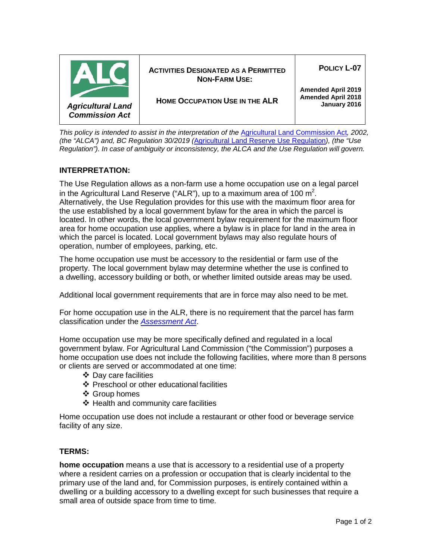

*This policy is intended to assist in the interpretation of the [Agricultural Land Commission Act](http://www.bclaws.ca/Recon/document/ID/freeside/00_02036_01), 2002, (the "ALCA") and, BC Regulation 30/2019 (*[Agricultural Land Reserve Use Regulation](http://www.bclaws.ca/civix/document/id/complete/statreg/30_2019)*), (the "Use Regulation"). In case of ambiguity or inconsistency, the ALCA and the Use Regulation will govern.*

# **INTERPRETATION:**

The Use Regulation allows as a non-farm use a home occupation use on a legal parcel in the Agricultural Land Reserve ("ALR"), up to a maximum area of 100  $m^2$ . Alternatively, the Use Regulation provides for this use with the maximum floor area for the use established by a local government bylaw for the area in which the parcel is located. In other words, the local government bylaw requirement for the maximum floor area for home occupation use applies, where a bylaw is in place for land in the area in which the parcel is located. Local government bylaws may also regulate hours of operation, number of employees, parking, etc.

The home occupation use must be accessory to the residential or farm use of the property. The local government bylaw may determine whether the use is confined to a dwelling, accessory building or both, or whether limited outside areas may be used.

Additional local government requirements that are in force may also need to be met.

For home occupation use in the ALR, there is no requirement that the parcel has farm classification under the *[Assessment Act](http://www.bclaws.ca/civix/document/id/complete/statreg/96020_01)*.

Home occupation use may be more specifically defined and regulated in a local government bylaw. For Agricultural Land Commission ("the Commission") purposes a home occupation use does not include the following facilities, where more than 8 persons or clients are served or accommodated at one time:

- Day care facilities
- ❖ Preschool or other educational facilities
- Group homes
- $\triangleleft$  Health and community care facilities

Home occupation use does not include a restaurant or other food or beverage service facility of any size.

## **TERMS:**

**home occupation** means a use that is accessory to a residential use of a property where a resident carries on a profession or occupation that is clearly incidental to the primary use of the land and, for Commission purposes, is entirely contained within a dwelling or a building accessory to a dwelling except for such businesses that require a small area of outside space from time to time.